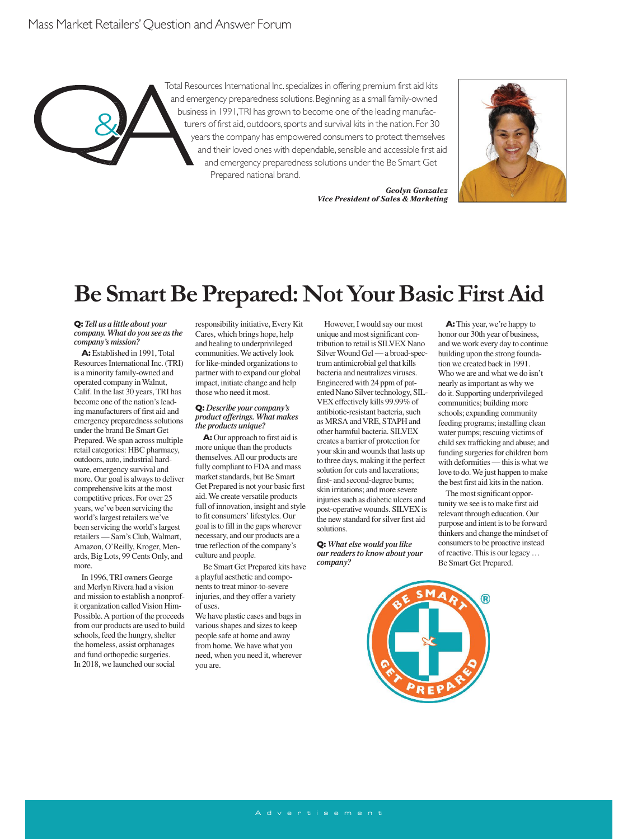Total Resources International Inc. specializes in offering premium first aid kits and emergency preparedness solutions. Beginning as a small family-owned business in 1991, TRI has grown to become one of the leading manufacturers of first aid, outdoors, sports and survival kits in the nation. For 30 years the company has empowered consumers to protect themselves and their loved ones with dependable, sensible and accessible first aid and emergency preparedness solutions under the Be Smart Get Prepared national brand.

> *Geolyn Gonzalez Vice President of Sales & Marketing*



## **Be Smart Be Prepared: Not Your Basic First Aid**

**Q:** *Tell us a little about your company. What do you see as the company's mission?*

&

**A:** Established in 1991, Total Resources International Inc. (TRI) is a minority family-owned and operated company in Walnut, Calif. In the last 30 years, TRI has become one of the nation's leading manufacturers of first aid and emergency preparedness solutions under the brand Be Smart Get Prepared. We span across multiple retail categories: HBC pharmacy, outdoors, auto, industrial hardware, emergency survival and more. Our goal is always to deliver comprehensive kits at the most competitive prices. For over 25 years, we've been servicing the world's largest retailers we've been servicing the world's largest retailers — Sam's Club, Walmart, Amazon, O'Reilly, Kroger, Menards, Big Lots, 99 Cents Only, and more.

In 1996, TRI owners George and Merlyn Rivera had a vision and mission to establish a nonprofit organization called Vision Him-Possible. A portion of the proceeds from our products are used to build schools, feed the hungry, shelter the homeless, assist orphanages and fund orthopedic surgeries. In 2018, we launched our social

responsibility initiative, Every Kit Cares, which brings hope, help and healing to underprivileged communities. We actively look for like-minded organizations to partner with to expand our global impact, initiate change and help those who need it most.

#### **Q:** *Describe your company's product offerings. What makes the products unique?*

**A:** Our approach to first aid is more unique than the products themselves. All our products are fully compliant to FDA and mass market standards, but Be Smart Get Prepared is not your basic first aid. We create versatile products full of innovation, insight and style to fit consumers' lifestyles. Our goal is to fill in the gaps wherever necessary, and our products are a true reflection of the company's culture and people.

Be Smart Get Prepared kits have a playful aesthetic and components to treat minor-to-severe injuries, and they offer a variety of uses.

We have plastic cases and bags in various shapes and sizes to keep people safe at home and away from home. We have what you need, when you need it, wherever you are.

However, I would say our most unique and most significant contribution to retail is SILVEX Nano Silver Wound Gel — a broad-spectrum antimicrobial gel that kills bacteria and neutralizes viruses. Engineered with 24 ppm of patented Nano Silver technology, SIL-VEX effectively kills 99.99% of antibiotic-resistant bacteria, such as MRSA and VRE, STAPH and other harmful bacteria. SILVEX creates a barrier of protection for your skin and wounds that lasts up to three days, making it the perfect solution for cuts and lacerations; first- and second-degree burns; skin irritations; and more severe injuries such as diabetic ulcers and post-operative wounds. SILVEX is the new standard for silver first aid solutions.

**Q:** *What else would you like our readers to know about your company?*



**A:** This year, we're happy to honor our 30th year of business, and we work every day to continue building upon the strong foundation we created back in 1991. Who we are and what we do isn't nearly as important as why we do it. Supporting underprivileged communities; building more schools; expanding community feeding programs; installing clean water pumps; rescuing victims of child sex trafficking and abuse; and funding surgeries for children born with deformities — this is what we love to do. We just happen to make the best first aid kits in the nation.

The most significant opportunity we see is to make first aid relevant through education. Our purpose and intent is to be forward thinkers and change the mindset of consumers to be proactive instead of reactive. This is our legacy … Be Smart Get Prepared.